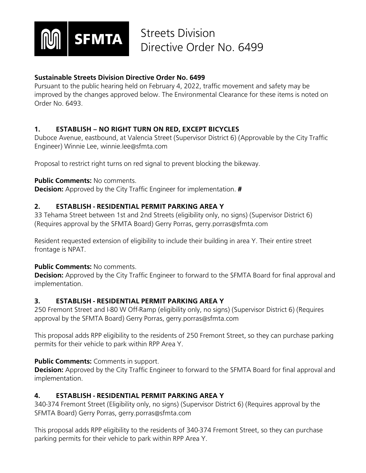

## **Sustainable Streets Division Directive Order No. 6499**

Pursuant to the public hearing held on February 4, 2022, traffic movement and safety may be improved by the changes approved below. The Environmental Clearance for these items is noted on Order No. 6493.

## **1. ESTABLISH – NO RIGHT TURN ON RED, EXCEPT BICYCLES**

Duboce Avenue, eastbound, at Valencia Street (Supervisor District 6) (Approvable by the City Traffic Engineer) Winnie Lee, winnie.lee@sfmta.com

Proposal to restrict right turns on red signal to prevent blocking the bikeway.

### **Public Comments: No comments.**

**Decision:** Approved by the City Traffic Engineer for implementation. **#**

## **2. ESTABLISH - RESIDENTIAL PERMIT PARKING AREA Y**

33 Tehama Street between 1st and 2nd Streets (eligibility only, no signs) (Supervisor District 6) (Requires approval by the SFMTA Board) Gerry Porras, gerry.porras@sfmta.com

Resident requested extension of eligibility to include their building in area Y. Their entire street frontage is NPAT.

#### **Public Comments:** No comments.

**Decision:** Approved by the City Traffic Engineer to forward to the SFMTA Board for final approval and implementation.

## **3. ESTABLISH - RESIDENTIAL PERMIT PARKING AREA Y**

250 Fremont Street and I-80 W Off-Ramp (eligibility only, no signs) (Supervisor District 6) (Requires approval by the SFMTA Board) Gerry Porras, gerry.porras@sfmta.com

This proposal adds RPP eligibility to the residents of 250 Fremont Street, so they can purchase parking permits for their vehicle to park within RPP Area Y.

## **Public Comments:** Comments in support.

**Decision:** Approved by the City Traffic Engineer to forward to the SFMTA Board for final approval and implementation.

## **4. ESTABLISH - RESIDENTIAL PERMIT PARKING AREA Y**

340-374 Fremont Street (Eligibility only, no signs) (Supervisor District 6) (Requires approval by the SFMTA Board) Gerry Porras, gerry.porras@sfmta.com

This proposal adds RPP eligibility to the residents of 340-374 Fremont Street, so they can purchase parking permits for their vehicle to park within RPP Area Y.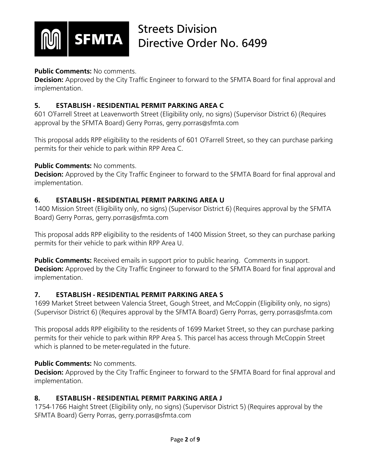

### **Public Comments:** No comments.

**Decision:** Approved by the City Traffic Engineer to forward to the SFMTA Board for final approval and implementation.

### **5. ESTABLISH - RESIDENTIAL PERMIT PARKING AREA C**

601 O'Farrell Street at Leavenworth Street (Eligibility only, no signs) (Supervisor District 6) (Requires approval by the SFMTA Board) Gerry Porras, gerry.porras@sfmta.com

This proposal adds RPP eligibility to the residents of 601 O'Farrell Street, so they can purchase parking permits for their vehicle to park within RPP Area C.

### **Public Comments: No comments.**

**Decision:** Approved by the City Traffic Engineer to forward to the SFMTA Board for final approval and implementation.

### **6. ESTABLISH - RESIDENTIAL PERMIT PARKING AREA U**

1400 Mission Street (Eligibility only, no signs) (Supervisor District 6) (Requires approval by the SFMTA Board) Gerry Porras, gerry.porras@sfmta.com

This proposal adds RPP eligibility to the residents of 1400 Mission Street, so they can purchase parking permits for their vehicle to park within RPP Area U.

**Public Comments:** Received emails in support prior to public hearing. Comments in support. **Decision:** Approved by the City Traffic Engineer to forward to the SFMTA Board for final approval and implementation.

## **7. ESTABLISH - RESIDENTIAL PERMIT PARKING AREA S**

1699 Market Street between Valencia Street, Gough Street, and McCoppin (Eligibility only, no signs) (Supervisor District 6) (Requires approval by the SFMTA Board) Gerry Porras, gerry.porras@sfmta.com

This proposal adds RPP eligibility to the residents of 1699 Market Street, so they can purchase parking permits for their vehicle to park within RPP Area S. This parcel has access through McCoppin Street which is planned to be meter-regulated in the future.

## **Public Comments:** No comments.

**Decision:** Approved by the City Traffic Engineer to forward to the SFMTA Board for final approval and implementation.

## **8. ESTABLISH - RESIDENTIAL PERMIT PARKING AREA J**

1754-1766 Haight Street (Eligibility only, no signs) (Supervisor District 5) (Requires approval by the SFMTA Board) Gerry Porras, gerry.porras@sfmta.com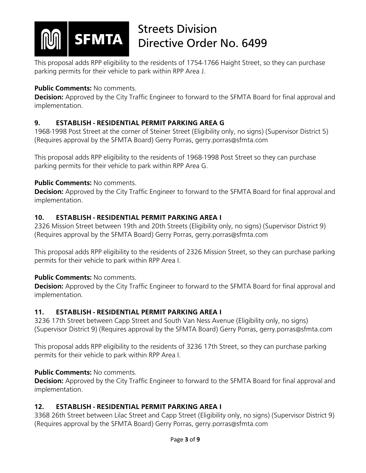

This proposal adds RPP eligibility to the residents of 1754-1766 Haight Street, so they can purchase parking permits for their vehicle to park within RPP Area J.

## **Public Comments: No comments.**

**Decision:** Approved by the City Traffic Engineer to forward to the SFMTA Board for final approval and implementation.

## **9. ESTABLISH - RESIDENTIAL PERMIT PARKING AREA G**

1968-1998 Post Street at the corner of Steiner Street (Eligibility only, no signs) (Supervisor District 5) (Requires approval by the SFMTA Board) Gerry Porras, gerry.porras@sfmta.com

This proposal adds RPP eligibility to the residents of 1968-1998 Post Street so they can purchase parking permits for their vehicle to park within RPP Area G.

## **Public Comments: No comments.**

**Decision:** Approved by the City Traffic Engineer to forward to the SFMTA Board for final approval and implementation.

## **10. ESTABLISH - RESIDENTIAL PERMIT PARKING AREA I**

2326 Mission Street between 19th and 20th Streets (Eligibility only, no signs) (Supervisor District 9) (Requires approval by the SFMTA Board) Gerry Porras, gerry.porras@sfmta.com

This proposal adds RPP eligibility to the residents of 2326 Mission Street, so they can purchase parking permits for their vehicle to park within RPP Area I.

## **Public Comments:** No comments.

**Decision:** Approved by the City Traffic Engineer to forward to the SFMTA Board for final approval and implementation.

## **11. ESTABLISH - RESIDENTIAL PERMIT PARKING AREA I**

3236 17th Street between Capp Street and South Van Ness Avenue (Eligibility only, no signs) (Supervisor District 9) (Requires approval by the SFMTA Board) Gerry Porras, gerry.porras@sfmta.com

This proposal adds RPP eligibility to the residents of 3236 17th Street, so they can purchase parking permits for their vehicle to park within RPP Area I.

## **Public Comments: No comments.**

**Decision:** Approved by the City Traffic Engineer to forward to the SFMTA Board for final approval and implementation.

## **12. ESTABLISH - RESIDENTIAL PERMIT PARKING AREA I**

3368 26th Street between Lilac Street and Capp Street (Eligibility only, no signs) (Supervisor District 9) (Requires approval by the SFMTA Board) Gerry Porras, gerry.porras@sfmta.com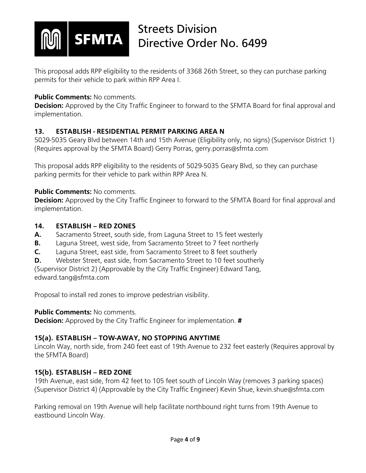

This proposal adds RPP eligibility to the residents of 3368 26th Street, so they can purchase parking permits for their vehicle to park within RPP Area I.

### **Public Comments: No comments.**

**Decision:** Approved by the City Traffic Engineer to forward to the SFMTA Board for final approval and implementation.

## **13. ESTABLISH - RESIDENTIAL PERMIT PARKING AREA N**

5029-5035 Geary Blvd between 14th and 15th Avenue (Eligibility only, no signs) (Supervisor District 1) (Requires approval by the SFMTA Board) Gerry Porras, gerry.porras@sfmta.com

This proposal adds RPP eligibility to the residents of 5029-5035 Geary Blvd, so they can purchase parking permits for their vehicle to park within RPP Area N.

#### **Public Comments:** No comments.

**Decision:** Approved by the City Traffic Engineer to forward to the SFMTA Board for final approval and implementation.

#### **14. ESTABLISH – RED ZONES**

- **A.** Sacramento Street, south side, from Laguna Street to 15 feet westerly
- **B.** Laguna Street, west side, from Sacramento Street to 7 feet northerly
- **C.** Laguna Street, east side, from Sacramento Street to 8 feet southerly
- **D.** Webster Street, east side, from Sacramento Street to 10 feet southerly

(Supervisor District 2) (Approvable by the City Traffic Engineer) Edward Tang, edward.tang@sfmta.com

Proposal to install red zones to improve pedestrian visibility.

## **Public Comments:** No comments.

**Decision:** Approved by the City Traffic Engineer for implementation. **#**

## **15(a). ESTABLISH – TOW-AWAY, NO STOPPING ANYTIME**

Lincoln Way, north side, from 240 feet east of 19th Avenue to 232 feet easterly (Requires approval by the SFMTA Board)

## **15(b). ESTABLISH – RED ZONE**

19th Avenue, east side, from 42 feet to 105 feet south of Lincoln Way (removes 3 parking spaces) (Supervisor District 4) (Approvable by the City Traffic Engineer) Kevin Shue, kevin.shue@sfmta.com

Parking removal on 19th Avenue will help facilitate northbound right turns from 19th Avenue to eastbound Lincoln Way.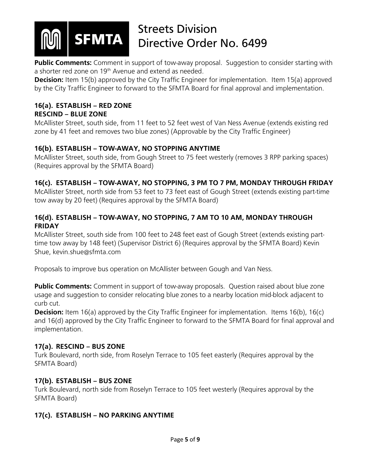

**Public Comments:** Comment in support of tow-away proposal. Suggestion to consider starting with a shorter red zone on 19<sup>th</sup> Avenue and extend as needed.

**Decision:** Item 15(b) approved by the City Traffic Engineer for implementation. Item 15(a) approved by the City Traffic Engineer to forward to the SFMTA Board for final approval and implementation.

### **16(a). ESTABLISH – RED ZONE RESCIND – BLUE ZONE**

McAllister Street, south side, from 11 feet to 52 feet west of Van Ness Avenue (extends existing red zone by 41 feet and removes two blue zones) (Approvable by the City Traffic Engineer)

## **16(b). ESTABLISH – TOW-AWAY, NO STOPPING ANYTIME**

McAllister Street, south side, from Gough Street to 75 feet westerly (removes 3 RPP parking spaces) (Requires approval by the SFMTA Board)

## **16(c). ESTABLISH – TOW-AWAY, NO STOPPING, 3 PM TO 7 PM, MONDAY THROUGH FRIDAY**

McAllister Street, north side from 53 feet to 73 feet east of Gough Street (extends existing part-time tow away by 20 feet) (Requires approval by the SFMTA Board)

## **16(d). ESTABLISH – TOW-AWAY, NO STOPPING, 7 AM TO 10 AM, MONDAY THROUGH FRIDAY**

McAllister Street, south side from 100 feet to 248 feet east of Gough Street (extends existing parttime tow away by 148 feet) (Supervisor District 6) (Requires approval by the SFMTA Board) Kevin Shue, kevin.shue@sfmta.com

Proposals to improve bus operation on McAllister between Gough and Van Ness.

**Public Comments:** Comment in support of tow-away proposals. Question raised about blue zone usage and suggestion to consider relocating blue zones to a nearby location mid-block adjacent to curb cut.

**Decision:** Item 16(a) approved by the City Traffic Engineer for implementation. Items 16(b), 16(c) and 16(d) approved by the City Traffic Engineer to forward to the SFMTA Board for final approval and implementation.

## **17(a). RESCIND – BUS ZONE**

Turk Boulevard, north side, from Roselyn Terrace to 105 feet easterly (Requires approval by the SFMTA Board)

## **17(b). ESTABLISH – BUS ZONE**

Turk Boulevard, north side from Roselyn Terrace to 105 feet westerly (Requires approval by the SFMTA Board)

## **17(c). ESTABLISH – NO PARKING ANYTIME**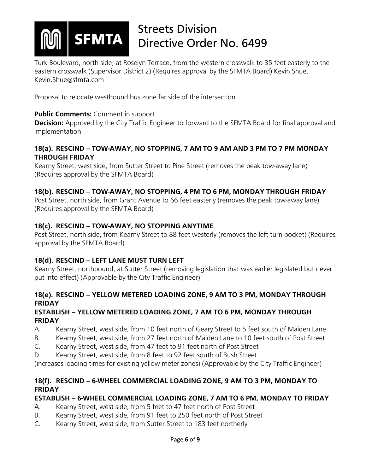

Turk Boulevard, north side, at Roselyn Terrace, from the western crosswalk to 35 feet easterly to the eastern crosswalk (Supervisor District 2) (Requires approval by the SFMTA Board) Kevin Shue, Kevin.Shue@sfmta.com

Proposal to relocate westbound bus zone far side of the intersection.

### **Public Comments:** Comment in support.

**Decision:** Approved by the City Traffic Engineer to forward to the SFMTA Board for final approval and implementation.

### **18(a). RESCIND – TOW-AWAY, NO STOPPING, 7 AM TO 9 AM AND 3 PM TO 7 PM MONDAY THROUGH FRIDAY**

Kearny Street, west side, from Sutter Street to Pine Street (removes the peak tow-away lane) (Requires approval by the SFMTA Board)

## **18(b). RESCIND – TOW-AWAY, NO STOPPING, 4 PM TO 6 PM, MONDAY THROUGH FRIDAY**

Post Street, north side, from Grant Avenue to 66 feet easterly (removes the peak tow-away lane) (Requires approval by the SFMTA Board)

### **18(c). RESCIND – TOW-AWAY, NO STOPPING ANYTIME**

Post Street, north side, from Kearny Street to 88 feet westerly (removes the left turn pocket) (Requires approval by the SFMTA Board)

## **18(d). RESCIND – LEFT LANE MUST TURN LEFT**

Kearny Street, northbound, at Sutter Street (removing legislation that was earlier legislated but never put into effect) (Approvable by the City Traffic Engineer)

## **18(e). RESCIND – YELLOW METERED LOADING ZONE, 9 AM TO 3 PM, MONDAY THROUGH FRIDAY**

### **ESTABLISH – YELLOW METERED LOADING ZONE, 7 AM TO 6 PM, MONDAY THROUGH FRIDAY**

- A. Kearny Street, west side, from 10 feet north of Geary Street to 5 feet south of Maiden Lane
- B. Kearny Street, west side, from 27 feet north of Maiden Lane to 10 feet south of Post Street
- C. Kearny Street, west side, from 47 feet to 91 feet north of Post Street
- D. Kearny Street, west side, from 8 feet to 92 feet south of Bush Street

(increases loading times for existing yellow meter zones) (Approvable by the City Traffic Engineer)

### **18(f). RESCIND – 6-WHEEL COMMERCIAL LOADING ZONE, 9 AM TO 3 PM, MONDAY TO FRIDAY**

#### **ESTABLISH – 6-WHEEL COMMERCIAL LOADING ZONE, 7 AM TO 6 PM, MONDAY TO FRIDAY**

- A. Kearny Street, west side, from 5 feet to 47 feet north of Post Street
- B. Kearny Street, west side, from 91 feet to 250 feet north of Post Street
- C. Kearny Street, west side, from Sutter Street to 183 feet northerly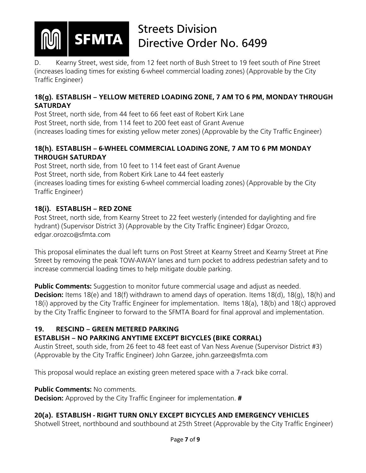

**SFMTA** 

# Streets Division Directive Order No. 6499

D. Kearny Street, west side, from 12 feet north of Bush Street to 19 feet south of Pine Street (increases loading times for existing 6-wheel commercial loading zones) (Approvable by the City Traffic Engineer)

## **18(g). ESTABLISH – YELLOW METERED LOADING ZONE, 7 AM TO 6 PM, MONDAY THROUGH SATURDAY**

Post Street, north side, from 44 feet to 66 feet east of Robert Kirk Lane Post Street, north side, from 114 feet to 200 feet east of Grant Avenue (increases loading times for existing yellow meter zones) (Approvable by the City Traffic Engineer)

## **18(h). ESTABLISH – 6-WHEEL COMMERCIAL LOADING ZONE, 7 AM TO 6 PM MONDAY THROUGH SATURDAY**

Post Street, north side, from 10 feet to 114 feet east of Grant Avenue Post Street, north side, from Robert Kirk Lane to 44 feet easterly (increases loading times for existing 6-wheel commercial loading zones) (Approvable by the City Traffic Engineer)

## **18(i). ESTABLISH – RED ZONE**

Post Street, north side, from Kearny Street to 22 feet westerly (intended for daylighting and fire hydrant) (Supervisor District 3) (Approvable by the City Traffic Engineer) Edgar Orozco, edgar.orozco@sfmta.com

This proposal eliminates the dual left turns on Post Street at Kearny Street and Kearny Street at Pine Street by removing the peak TOW-AWAY lanes and turn pocket to address pedestrian safety and to increase commercial loading times to help mitigate double parking.

**Public Comments:** Suggestion to monitor future commercial usage and adjust as needed. **Decision:** Items 18(e) and 18(f) withdrawn to amend days of operation. Items 18(d), 18(q), 18(h) and 18(i) approved by the City Traffic Engineer for implementation. Items 18(a), 18(b) and 18(c) approved by the City Traffic Engineer to forward to the SFMTA Board for final approval and implementation.

## **19. RESCIND – GREEN METERED PARKING**

## **ESTABLISH – NO PARKING ANYTIME EXCEPT BICYCLES (BIKE CORRAL)**

Austin Street, south side, from 26 feet to 48 feet east of Van Ness Avenue (Supervisor District #3) (Approvable by the City Traffic Engineer) John Garzee, john.garzee@sfmta.com

This proposal would replace an existing green metered space with a 7-rack bike corral.

## **Public Comments:** No comments.

**Decision:** Approved by the City Traffic Engineer for implementation. **#**

## **20(a). ESTABLISH - RIGHT TURN ONLY EXCEPT BICYCLES AND EMERGENCY VEHICLES**

Shotwell Street, northbound and southbound at 25th Street (Approvable by the City Traffic Engineer)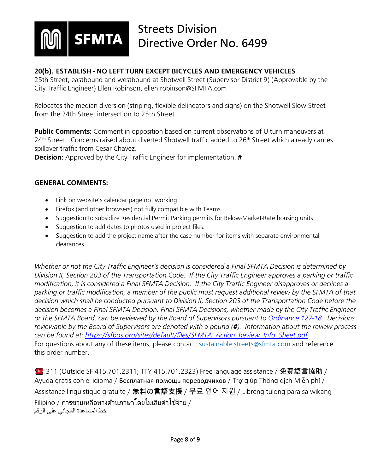

### **20(b). ESTABLISH - NO LEFT TURN EXCEPT BICYCLES AND EMERGENCY VEHICLES**

25th Street, eastbound and westbound at Shotwell Street (Supervisor District 9) (Approvable by the City Traffic Engineer) Ellen Robinson, ellen.robinson@SFMTA.com

Relocates the median diversion (striping, flexible delineators and signs) on the Shotwell Slow Street from the 24th Street intersection to 25th Street.

**Public Comments:** Comment in opposition based on current observations of U-turn maneuvers at 24<sup>th</sup> Street. Concerns raised about diverted Shotwell traffic added to 26<sup>th</sup> Street which already carries spillover traffic from Cesar Chavez.

**Decision:** Approved by the City Traffic Engineer for implementation. **#**

#### **GENERAL COMMENTS:**

- Link on website's calendar page not working.
- Firefox (and other browsers) not fully compatible with Teams.
- Suggestion to subsidize Residential Permit Parking permits for Below-Market-Rate housing units.
- Suggestion to add dates to photos used in project files.
- Suggestion to add the project name after the case number for items with separate environmental clearances.

*Whether or not the City Traffic Engineer's decision is considered a Final SFMTA Decision is determined by Division II, Section 203 of the Transportation Code. If the City Traffic Engineer approves a parking or traffic modification, it is considered a Final SFMTA Decision. If the City Traffic Engineer disapproves or declines a parking or traffic modification, a member of the public must request additional review by the SFMTA of that decision which shall be conducted pursuant to Division II, Section 203 of the Transportation Code before the decision becomes a Final SFMTA Decision. Final SFMTA Decisions, whether made by the City Traffic Engineer or the SFMTA Board, can be reviewed by the Board of Supervisors pursuant to [Ordinance 127-18.](https://sfbos.org/sites/default/files/o0127-18.pdf) Decisions reviewable by the Board of Supervisors are denoted with a pound (#). Information about the review process can be found at: [https://sfbos.org/sites/default/files/SFMTA\\_Action\\_Review\\_Info\\_Sheet.pdf.](https://sfbos.org/sites/default/files/SFMTA_Action_Review_Info_Sheet.pdf)*  For questions about any of these items, please contact: [sustainable.streets@sfmta.com](mailto:sustainable.streets@sfmta.com) and reference this order number.

**● 311 (Outside SF 415.701.2311; TTY 415.701.2323) Free language assistance / 免費語言協助 /** Ayuda gratis con el idioma / Бесплатная помощь переводчиков / Trợ giúp Thông dịch Miễn phí / Assistance linguistique gratuite / 無料の言語支援 / 무료 언어 지원 / Libreng tulong para sa wikang <code>Filipino</code> / การช่วยเหลือทางด้านภาษาโดยไม่เสียค่าใช้จ่าย / خط المساعدة المجاني على الرقم